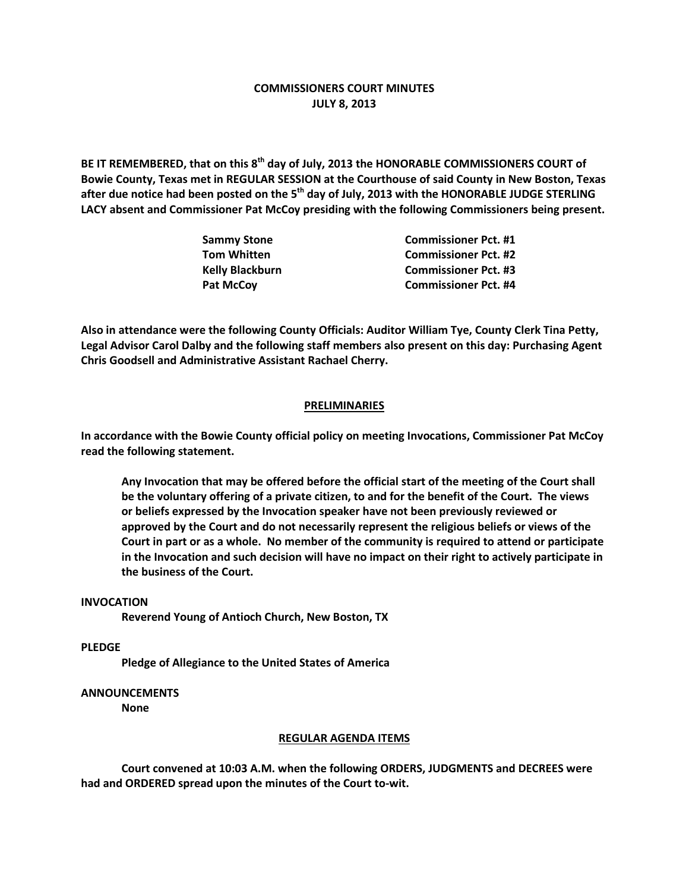# **COMMISSIONERS COURT MINUTES JULY 8, 2013**

**BE IT REMEMBERED, that on this 8th day of July, 2013 the HONORABLE COMMISSIONERS COURT of Bowie County, Texas met in REGULAR SESSION at the Courthouse of said County in New Boston, Texas after due notice had been posted on the 5th day of July, 2013 with the HONORABLE JUDGE STERLING LACY absent and Commissioner Pat McCoy presiding with the following Commissioners being present.**

| <b>Commissioner Pct. #1</b> |
|-----------------------------|
| <b>Commissioner Pct. #2</b> |
| <b>Commissioner Pct. #3</b> |
| <b>Commissioner Pct. #4</b> |
|                             |

**Also in attendance were the following County Officials: Auditor William Tye, County Clerk Tina Petty, Legal Advisor Carol Dalby and the following staff members also present on this day: Purchasing Agent Chris Goodsell and Administrative Assistant Rachael Cherry.**

### **PRELIMINARIES**

**In accordance with the Bowie County official policy on meeting Invocations, Commissioner Pat McCoy read the following statement.**

**Any Invocation that may be offered before the official start of the meeting of the Court shall be the voluntary offering of a private citizen, to and for the benefit of the Court. The views or beliefs expressed by the Invocation speaker have not been previously reviewed or approved by the Court and do not necessarily represent the religious beliefs or views of the Court in part or as a whole. No member of the community is required to attend or participate in the Invocation and such decision will have no impact on their right to actively participate in the business of the Court.**

### **INVOCATION**

**Reverend Young of Antioch Church, New Boston, TX**

**PLEDGE**

**Pledge of Allegiance to the United States of America**

## **ANNOUNCEMENTS**

**None**

#### **REGULAR AGENDA ITEMS**

**Court convened at 10:03 A.M. when the following ORDERS, JUDGMENTS and DECREES were had and ORDERED spread upon the minutes of the Court to-wit.**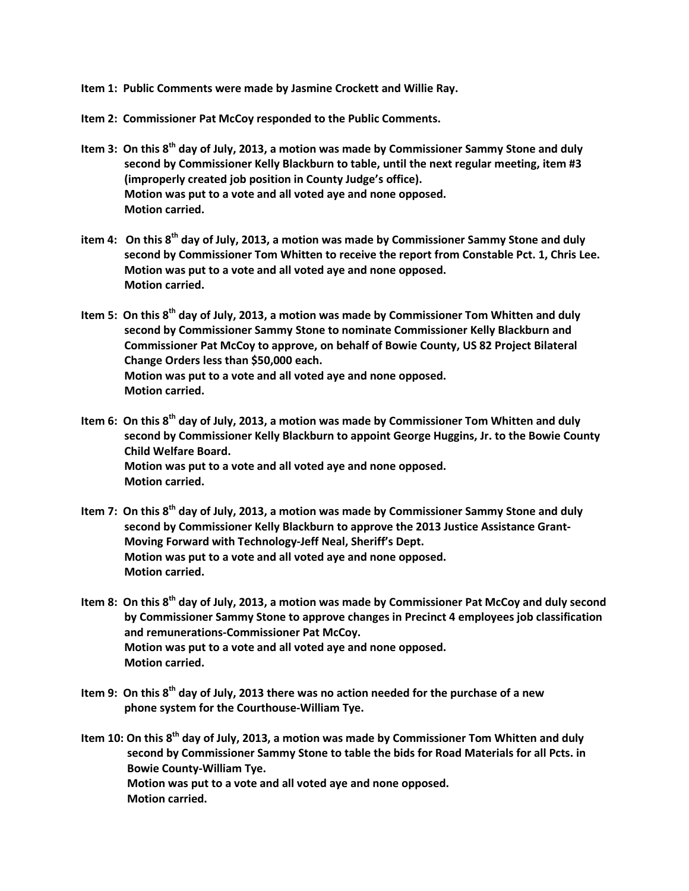**Item 1: Public Comments were made by Jasmine Crockett and Willie Ray.**

**Item 2: Commissioner Pat McCoy responded to the Public Comments.**

- **Item 3: On this 8th day of July, 2013, a motion was made by Commissioner Sammy Stone and duly second by Commissioner Kelly Blackburn to table, until the next regular meeting, item #3 (improperly created job position in County Judge's office). Motion was put to a vote and all voted aye and none opposed. Motion carried.**
- **item 4: On this 8th day of July, 2013, a motion was made by Commissioner Sammy Stone and duly second by Commissioner Tom Whitten to receive the report from Constable Pct. 1, Chris Lee. Motion was put to a vote and all voted aye and none opposed. Motion carried.**

**Item 5: On this 8th day of July, 2013, a motion was made by Commissioner Tom Whitten and duly second by Commissioner Sammy Stone to nominate Commissioner Kelly Blackburn and Commissioner Pat McCoy to approve, on behalf of Bowie County, US 82 Project Bilateral Change Orders less than \$50,000 each. Motion was put to a vote and all voted aye and none opposed. Motion carried.**

- **Item 6: On this 8th day of July, 2013, a motion was made by Commissioner Tom Whitten and duly second by Commissioner Kelly Blackburn to appoint George Huggins, Jr. to the Bowie County Child Welfare Board. Motion was put to a vote and all voted aye and none opposed. Motion carried.**
- **Item 7: On this 8th day of July, 2013, a motion was made by Commissioner Sammy Stone and duly second by Commissioner Kelly Blackburn to approve the 2013 Justice Assistance Grant-Moving Forward with Technology-Jeff Neal, Sheriff's Dept. Motion was put to a vote and all voted aye and none opposed. Motion carried.**
- **Item 8: On this 8th day of July, 2013, a motion was made by Commissioner Pat McCoy and duly second by Commissioner Sammy Stone to approve changes in Precinct 4 employees job classification and remunerations-Commissioner Pat McCoy. Motion was put to a vote and all voted aye and none opposed. Motion carried.**
- **Item 9: On this 8th day of July, 2013 there was no action needed for the purchase of a new phone system for the Courthouse-William Tye.**
- **Item 10: On this 8th day of July, 2013, a motion was made by Commissioner Tom Whitten and duly second by Commissioner Sammy Stone to table the bids for Road Materials for all Pcts. in Bowie County-William Tye. Motion was put to a vote and all voted aye and none opposed. Motion carried.**